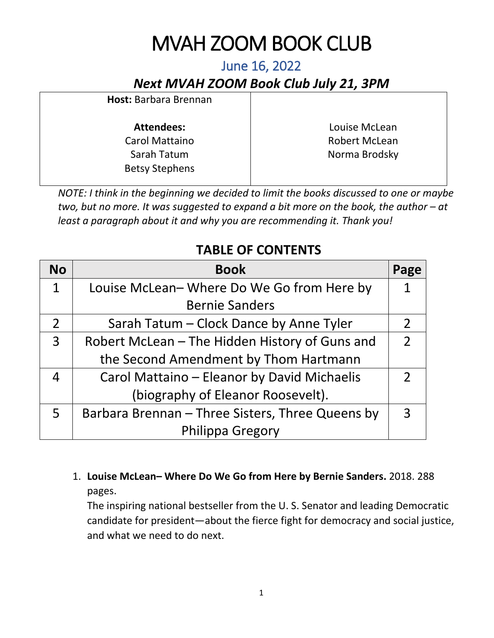# MVAH ZOOM BOOK CLUB

*Next MVAH ZOOM Book Club July 21, 3PM*

| Host: Barbara Brennan                |                      |
|--------------------------------------|----------------------|
| <b>Attendees:</b>                    | Louise McLean        |
| <b>Carol Mattaino</b>                | <b>Robert McLean</b> |
| Sarah Tatum<br><b>Betsy Stephens</b> | Norma Brodsky        |

*NOTE: I think in the beginning we decided to limit the books discussed to one or maybe two, but no more. It was suggested to expand a bit more on the book, the author – at least a paragraph about it and why you are recommending it. Thank you!*

## **TABLE OF CONTENTS**

| <b>No</b>      | <b>Book</b>                                      | Page |
|----------------|--------------------------------------------------|------|
| $\mathbf 1$    | Louise McLean-Where Do We Go from Here by        |      |
|                | <b>Bernie Sanders</b>                            |      |
| $\overline{2}$ | Sarah Tatum - Clock Dance by Anne Tyler          |      |
| $\overline{3}$ | Robert McLean - The Hidden History of Guns and   |      |
|                | the Second Amendment by Thom Hartmann            |      |
|                | Carol Mattaino - Eleanor by David Michaelis      |      |
|                | (biography of Eleanor Roosevelt).                |      |
| 5              | Barbara Brennan - Three Sisters, Three Queens by |      |
|                | Philippa Gregory                                 |      |

1. **Louise McLean– Where Do We Go from Here by Bernie Sanders.** 2018. 288 pages.

The inspiring national bestseller from the U. S. Senator and leading Democratic candidate for president―about the fierce fight for democracy and social justice, and what we need to do next.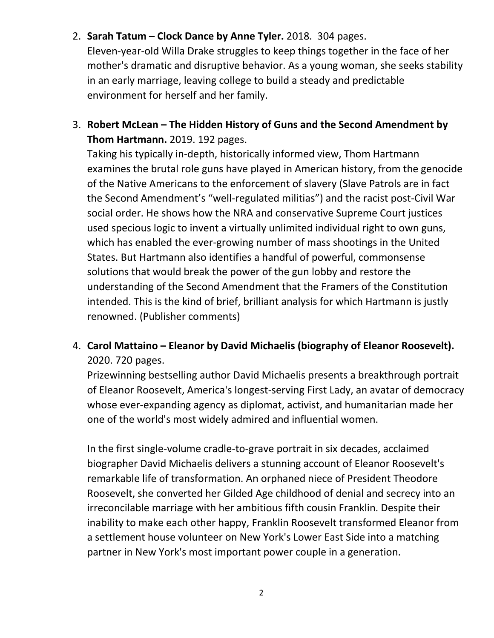#### 2. **Sarah Tatum – Clock Dance by Anne Tyler.** 2018. 304 pages.

Eleven-year-old Willa Drake struggles to keep things together in the face of her mother's dramatic and disruptive behavior. As a young woman, she seeks stability in an early marriage, leaving college to build a steady and predictable environment for herself and her family.

3. **Robert McLean – The Hidden History of Guns and the Second Amendment by Thom Hartmann.** 2019. 192 pages.

Taking his typically in-depth, historically informed view, Thom Hartmann examines the brutal role guns have played in American history, from the genocide of the Native Americans to the enforcement of slavery (Slave Patrols are in fact the Second Amendment's "well-regulated militias") and the racist post-Civil War social order. He shows how the NRA and conservative Supreme Court justices used specious logic to invent a virtually unlimited individual right to own guns, which has enabled the ever-growing number of mass shootings in the United States. But Hartmann also identifies a handful of powerful, commonsense solutions that would break the power of the gun lobby and restore the understanding of the Second Amendment that the Framers of the Constitution intended. This is the kind of brief, brilliant analysis for which Hartmann is justly renowned. (Publisher comments)

### 4. **Carol Mattaino – Eleanor by David Michaelis (biography of Eleanor Roosevelt).**  2020. 720 pages.

Prizewinning bestselling author David Michaelis presents a breakthrough portrait of Eleanor Roosevelt, America's longest-serving First Lady, an avatar of democracy whose ever-expanding agency as diplomat, activist, and humanitarian made her one of the world's most widely admired and influential women.

In the first single-volume cradle-to-grave portrait in six decades, acclaimed biographer David Michaelis delivers a stunning account of Eleanor Roosevelt's remarkable life of transformation. An orphaned niece of President Theodore Roosevelt, she converted her Gilded Age childhood of denial and secrecy into an irreconcilable marriage with her ambitious fifth cousin Franklin. Despite their inability to make each other happy, Franklin Roosevelt transformed Eleanor from a settlement house volunteer on New York's Lower East Side into a matching partner in New York's most important power couple in a generation.